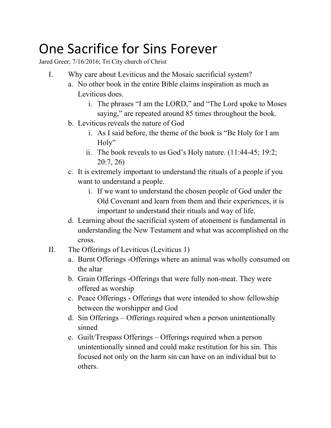## One Sacrifice for Sins Forever

Jared Greer; 7/16/2016; Tri City church of Christ

- I. Why care about Leviticus and the Mosaic sacrificial system?
	- a. No other book in the entire Bible claims inspiration as much as Leviticus does.
		- i. The phrases "I am the LORD," and "The Lord spoke to Moses saying," are repeated around 85 times throughout the book.
	- b. Leviticus reveals the nature of God
		- i. As I said before, the theme of the book is "Be Holy for I am Holy"
		- ii. The book reveals to us God's Holy nature.  $(11:44-45; 19:2;$ 20:7, 26)
	- c. It is extremely important to understand the rituals of a people if you want to understand a people.
		- i. If we want to understand the chosen people of God under the Old Covenant and learn from them and their experiences, it is important to understand their rituals and way of life.
	- d. Learning about the sacrificial system of atonement is fundamental in understanding the New Testament and what was accomplished on the cross.
- II. The Offerings of Leviticus (Leviticus 1)
	- a. Burnt Offerings -Offerings where an animal was wholly consumed on the altar
	- b. Grain Offerings -Offerings that were fully non-meat. They were offered as worship
	- c. Peace Offerings Offerings that were intended to show fellowship between the worshipper and God
	- d. Sin Offerings Offerings required when a person unintentionally sinned
	- e. Guilt/Trespass Offerings Offerings required when a person unintentionally sinned and could make restitution for his sin. This focused not only on the harm sin can have on an individual but to others.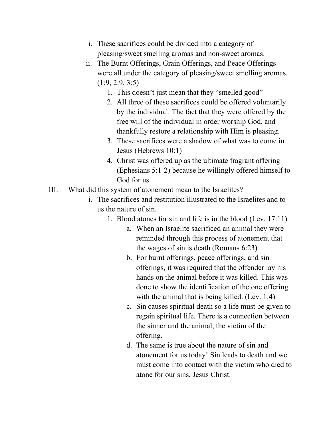- i. These sacrifices could be divided into a category of pleasing/sweet smelling aromas and non-sweet aromas.
- ii. The Burnt Offerings, Grain Offerings, and Peace Offerings were all under the category of pleasing/sweet smelling aromas.  $(1:9, 2:9, 3:5)$ 
	- 1. This doesn't just mean that they "smelled good"
	- 2. All three of these sacrifices could be offered voluntarily by the individual. The fact that they were offered by the free will of the individual in order worship God, and thankfully restore a relationship with Him is pleasing.
	- 3. These sacrifices were a shadow of what was to come in Jesus (Hebrews 10:1)
	- 4. Christ was offered up as the ultimate fragrant offering (Ephesians  $5:1-2$ ) because he willingly offered himself to God for us.
- III. What did this system of atonement mean to the Israelites?
	- i. The sacrifices and restitution illustrated to the Israelites and to us the nature of sin.
		- 1. Blood atones for sin and life is in the blood (Lev. 17:11)
			- a. When an Israelite sacrificed an animal they were reminded through this process of atonement that the wages of sin is death (Romans 6:23)
			- b. For burnt offerings, peace offerings, and sin offerings, it was required that the offender lay his hands on the animal before it was killed. This was done to show the identification of the one offering with the animal that is being killed. (Lev. 1:4)
			- c. Sin causes spiritual death so a life must be given to regain spiritual life. There is a connection between the sinner and the animal, the victim of the offering.
			- d. The same is true about the nature of sin and atonement for us today! Sin leads to death and we must come into contact with the victim who died to atone for our sins, Jesus Christ.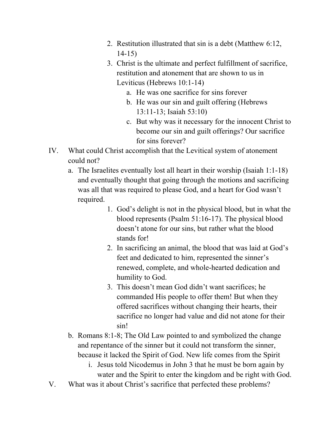- 2. Restitution illustrated that sin is a debt (Matthew 6:12,  $14-15$
- 3. Christ is the ultimate and perfect fulfillment of sacrifice, restitution and atonement that are shown to us in Leviticus (Hebrews 10:1-14)
	- a. He was one sacrifice for sins forever
	- b. He was our sin and guilt offering (Hebrews 13:1113; Isaiah 53:10)
	- c. But why was it necessary for the innocent Christ to become our sin and guilt offerings? Our sacrifice for sins forever?
- IV. What could Christ accomplish that the Levitical system of atonement could not?
	- a. The Israelites eventually lost all heart in their worship (Isaiah  $1:1-18$ ) and eventually thought that going through the motions and sacrificing was all that was required to please God, and a heart for God wasn't required.
		- 1. God's delight is not in the physical blood, but in what the blood represents (Psalm 51:16-17). The physical blood doesn't atone for our sins, but rather what the blood stands for!
		- 2. In sacrificing an animal, the blood that was laid at God's feet and dedicated to him, represented the sinner's renewed, complete, and whole-hearted dedication and humility to God.
		- 3. This doesn't mean God didn't want sacrifices; he commanded His people to offer them! But when they offered sacrifices without changing their hearts, their sacrifice no longer had value and did not atone for their sin!
	- b. Romans 8:1-8; The Old Law pointed to and symbolized the change and repentance of the sinner but it could not transform the sinner, because it lacked the Spirit of God. New life comes from the Spirit
		- i. Jesus told Nicodemus in John 3 that he must be born again by water and the Spirit to enter the kingdom and be right with God.
- V. What was it about Christ's sacrifice that perfected these problems?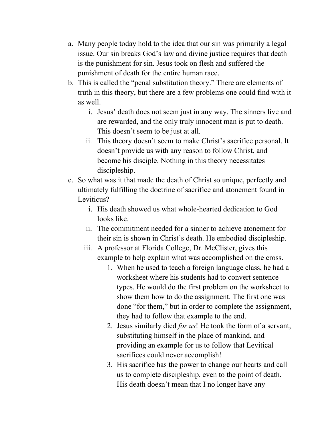- a. Many people today hold to the idea that our sin was primarily a legal issue. Our sin breaks God's law and divine justice requires that death is the punishment for sin. Jesus took on flesh and suffered the punishment of death for the entire human race.
- b. This is called the "penal substitution theory." There are elements of truth in this theory, but there are a few problems one could find with it as well.
	- i. Jesus' death does not seem just in any way. The sinners live and are rewarded, and the only truly innocent man is put to death. This doesn't seem to be just at all.
	- ii. This theory doesn't seem to make Christ's sacrifice personal. It doesn't provide us with any reason to follow Christ, and become his disciple. Nothing in this theory necessitates discipleship.
- c. So what was it that made the death of Christ so unique, perfectly and ultimately fulfilling the doctrine of sacrifice and atonement found in Leviticus?
	- i. His death showed us what whole-hearted dedication to God looks like.
	- ii. The commitment needed for a sinner to achieve atonement for their sin is shown in Christ's death. He embodied discipleship.
	- iii. A professor at Florida College, Dr. McClister, gives this example to help explain what was accomplished on the cross.
		- 1. When he used to teach a foreign language class, he had a worksheet where his students had to convert sentence types. He would do the first problem on the worksheet to show them how to do the assignment. The first one was done "for them," but in order to complete the assignment, they had to follow that example to the end.
		- 2. Jesus similarly died *for us*! He took the form of a servant, substituting himself in the place of mankind, and providing an example for us to follow that Levitical sacrifices could never accomplish!
		- 3. His sacrifice has the power to change our hearts and call us to complete discipleship, even to the point of death. His death doesn't mean that I no longer have any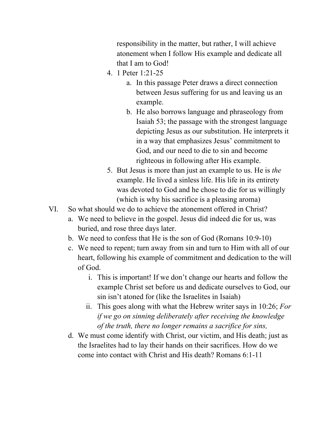responsibility in the matter, but rather, I will achieve atonement when I follow His example and dedicate all that I am to God!

- 4. 1 Peter 1:21-25
	- a. In this passage Peter draws a direct connection between Jesus suffering for us and leaving us an example.
	- b. He also borrows language and phraseology from Isaiah 53; the passage with the strongest language depicting Jesus as our substitution. He interprets it in a way that emphasizes Jesus' commitment to God, and our need to die to sin and become righteous in following after His example.
- 5. But Jesus is more than just an example to us. He is *the* example. He lived a sinless life. His life in its entirety was devoted to God and he chose to die for us willingly (which is why his sacrifice is a pleasing aroma)
- VI. So what should we do to achieve the atonement offered in Christ?
	- a. We need to believe in the gospel. Jesus did indeed die for us, was buried, and rose three days later.
	- b. We need to confess that He is the son of God (Romans  $10:9-10$ )
	- c. We need to repent; turn away from sin and turn to Him with all of our heart, following his example of commitment and dedication to the will of God.
		- i. This is important! If we don't change our hearts and follow the example Christ set before us and dedicate ourselves to God, our sin isn't atoned for (like the Israelites in Isaiah)
		- ii. This goes along with what the Hebrew writer says in 10:26; *For if we go on sinning deliberately after receiving the knowledge of the truth, there no longer remains a sacrifice for sins,*
	- d. We must come identify with Christ, our victim, and His death; just as the Israelites had to lay their hands on their sacrifices. How do we come into contact with Christ and His death? Romans  $6:1-11$